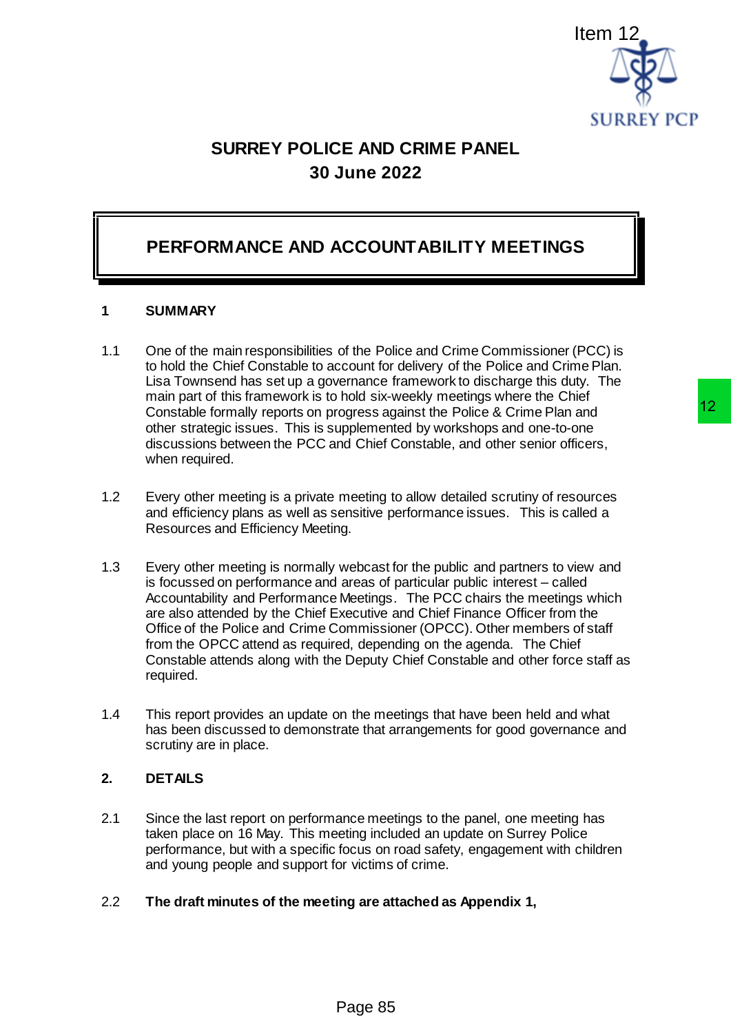

# **SURREY POLICE AND CRIME PANEL 30 June 2022**

## **PERFORMANCE AND ACCOUNTABILITY MEETINGS**

#### **1 SUMMARY**

- 1.1 One of the main responsibilities of the Police and Crime Commissioner (PCC) is to hold the Chief Constable to account for delivery of the Police and Crime Plan. Lisa Townsend has set up a governance framework to discharge this duty. The main part of this framework is to hold six-weekly meetings where the Chief Constable formally reports on progress against the Police & Crime Plan and other strategic issues. This is supplemented by workshops and one-to-one discussions between the PCC and Chief Constable, and other senior officers, when required.
- 1.2 Every other meeting is a private meeting to allow detailed scrutiny of resources and efficiency plans as well as sensitive performance issues. This is called a Resources and Efficiency Meeting.
- 1.3 Every other meeting is normally webcast for the public and partners to view and is focussed on performance and areas of particular public interest – called Accountability and Performance Meetings. The PCC chairs the meetings which are also attended by the Chief Executive and Chief Finance Officer from the Office of the Police and Crime Commissioner (OPCC). Other members of staff from the OPCC attend as required, depending on the agenda. The Chief Constable attends along with the Deputy Chief Constable and other force staff as required. Item<br>
SURREY PCP<br>
SURREY PCP<br>
SURREY PCP<br>
SURREY PCP<br>
ACCOUNTABILITY MEETINGS<br>
of the Police and Crime Commissioner (PCC) is<br>
cocount for delivery of the Police and Crime Plan.<br>
hold six-weekly methings where the Chief<br>
ho
- 1.4 This report provides an update on the meetings that have been held and what has been discussed to demonstrate that arrangements for good governance and scrutiny are in place.

#### **2. DETAILS**

2.1 Since the last report on performance meetings to the panel, one meeting has taken place on 16 May. This meeting included an update on Surrey Police performance, but with a specific focus on road safety, engagement with children and young people and support for victims of crime.

#### 2.2 **The draft minutes of the meeting are attached as Appendix 1,**